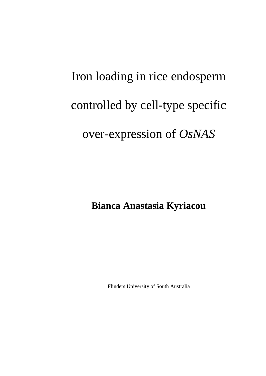# Iron loading in rice endosperm controlled by cell-type specific over-expression of *OsNAS*

**Bianca Anastasia Kyriacou** 

Flinders University of South Australia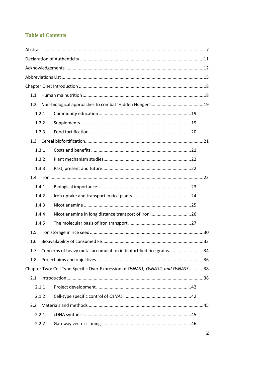### **Table of Contents**

| 1.1   |                                                                                 |  |
|-------|---------------------------------------------------------------------------------|--|
| 1.2   |                                                                                 |  |
| 1.2.1 |                                                                                 |  |
| 1.2.2 |                                                                                 |  |
| 1.2.3 |                                                                                 |  |
|       |                                                                                 |  |
| 1.3.1 |                                                                                 |  |
| 1.3.2 |                                                                                 |  |
| 1.3.3 |                                                                                 |  |
| 1.4   |                                                                                 |  |
| 1.4.1 |                                                                                 |  |
| 1.4.2 |                                                                                 |  |
| 1.4.3 |                                                                                 |  |
| 1.4.4 |                                                                                 |  |
| 1.4.5 |                                                                                 |  |
| 1.5   |                                                                                 |  |
| 1.6   |                                                                                 |  |
| 1.7   | Concerns of heavy metal accumulation in biofortified rice grains34              |  |
| 1.8   |                                                                                 |  |
|       | Chapter Two: Cell Type Specific Over-Expression of OsNAS1, OsNAS2, and OsNAS338 |  |
| 2.1   |                                                                                 |  |
| 2.1.1 |                                                                                 |  |
| 2.1.2 |                                                                                 |  |
| 2.2   |                                                                                 |  |
| 2.2.1 |                                                                                 |  |
| 2.2.2 |                                                                                 |  |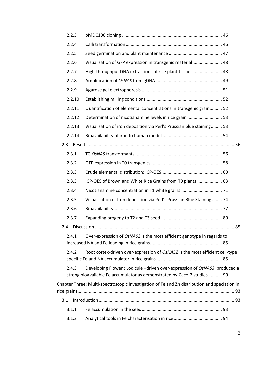|     | 2.2.3  |                                                                                                                                                       |  |
|-----|--------|-------------------------------------------------------------------------------------------------------------------------------------------------------|--|
|     | 2.2.4  |                                                                                                                                                       |  |
|     | 2.2.5  |                                                                                                                                                       |  |
|     | 2.2.6  | Visualisation of GFP expression in transgenic material 48                                                                                             |  |
|     | 2.2.7  | High-throughput DNA extractions of rice plant tissue  48                                                                                              |  |
|     | 2.2.8  |                                                                                                                                                       |  |
|     | 2.2.9  |                                                                                                                                                       |  |
|     | 2.2.10 |                                                                                                                                                       |  |
|     | 2.2.11 | Quantification of elemental concentrations in transgenic grain 52                                                                                     |  |
|     | 2.2.12 | Determination of nicotianamine levels in rice grain  53                                                                                               |  |
|     | 2.2.13 | Visualisation of iron deposition via Perl's Prussian blue staining 53                                                                                 |  |
|     | 2.2.14 |                                                                                                                                                       |  |
| 2.3 |        |                                                                                                                                                       |  |
|     | 2.3.1  |                                                                                                                                                       |  |
|     | 2.3.2  |                                                                                                                                                       |  |
|     | 2.3.3  |                                                                                                                                                       |  |
|     | 2.3.3  | ICP-OES of Brown and White Rice Grains from T0 plants  63                                                                                             |  |
|     | 2.3.4  |                                                                                                                                                       |  |
|     | 2.3.5  | Visualisation of Iron deposition via Perl's Prussian Blue Staining  74                                                                                |  |
|     | 2.3.6  |                                                                                                                                                       |  |
|     | 2.3.7  |                                                                                                                                                       |  |
| 2.4 |        |                                                                                                                                                       |  |
|     | 2.4.1  | Over-expression of OsNAS2 is the most efficient genotype in regards to                                                                                |  |
|     | 2.4.2  | Root cortex-driven over-expression of OsNAS2 is the most efficient cell-type                                                                          |  |
|     | 2.4.3  | Developing Flower: Lodicule -driven over-expression of OsNAS3 produced a<br>strong bioavailable Fe accumulator as demonstrated by Caco-2 studies.  90 |  |
|     |        | Chapter Three: Multi-spectroscopic investigation of Fe and Zn distribution and speciation in                                                          |  |
| 3.1 |        |                                                                                                                                                       |  |
|     | 3.1.1  |                                                                                                                                                       |  |
|     | 3.1.2  |                                                                                                                                                       |  |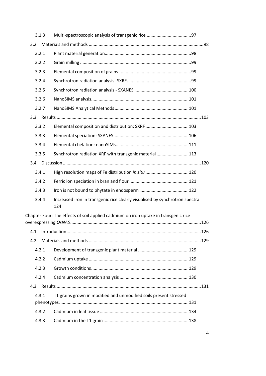| 3.1.3 |                                                                                     |      |
|-------|-------------------------------------------------------------------------------------|------|
| 3.2   |                                                                                     |      |
| 3.2.1 |                                                                                     |      |
| 3.2.2 |                                                                                     |      |
| 3.2.3 |                                                                                     |      |
| 3.2.4 |                                                                                     |      |
| 3.2.5 |                                                                                     |      |
| 3.2.6 |                                                                                     |      |
| 3.2.7 |                                                                                     |      |
| 3.3   |                                                                                     |      |
| 3.3.2 | Elemental composition and distribution: SXRF103                                     |      |
| 3.3.3 |                                                                                     |      |
| 3.3.4 |                                                                                     |      |
| 3.3.5 | Synchrotron radiation XRF with transgenic material 113                              |      |
| 3.4   |                                                                                     |      |
| 3.4.1 | High resolution maps of Fe distribution in situ 120                                 |      |
| 3.4.2 |                                                                                     |      |
| 3.4.3 |                                                                                     |      |
| 3.4.4 | Increased iron in transgenic rice clearly visualised by synchrotron spectra<br>124  |      |
|       | Chapter Four: The effects of soil applied cadmium on iron uptake in transgenic rice |      |
|       |                                                                                     | .126 |
| 4.2   |                                                                                     |      |
| 4.2.1 |                                                                                     |      |
| 4.2.2 |                                                                                     |      |
| 4.2.3 |                                                                                     |      |
| 4.2.4 |                                                                                     |      |
| 4.3   |                                                                                     |      |
| 4.3.1 | T1 grains grown in modified and unmodified soils present stressed                   |      |
|       |                                                                                     |      |
| 4.3.2 |                                                                                     |      |
| 4.3.3 |                                                                                     |      |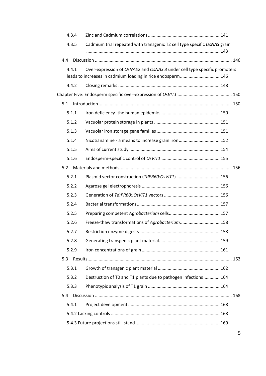| 4.3.4 |                                                                                                                                         |  |
|-------|-----------------------------------------------------------------------------------------------------------------------------------------|--|
| 4.3.5 | Cadmium trial repeated with transgenic T2 cell type specific OsNAS grain                                                                |  |
| 4.4   |                                                                                                                                         |  |
| 4.4.1 | Over-expression of OsNAS2 and OsNAS 3 under cell type specific promoters<br>leads to increases in cadmium loading in rice endosperm 146 |  |
| 4.4.2 |                                                                                                                                         |  |
|       |                                                                                                                                         |  |
| 5.1   |                                                                                                                                         |  |
| 5.1.1 |                                                                                                                                         |  |
| 5.1.2 |                                                                                                                                         |  |
| 5.1.3 |                                                                                                                                         |  |
| 5.1.4 | Nicotianamine - a means to increase grain iron 152                                                                                      |  |
| 5.1.5 |                                                                                                                                         |  |
| 5.1.6 |                                                                                                                                         |  |
| 5.2   |                                                                                                                                         |  |
| 5.2.1 |                                                                                                                                         |  |
| 5.2.2 |                                                                                                                                         |  |
| 5.2.3 |                                                                                                                                         |  |
| 5.2.4 |                                                                                                                                         |  |
| 5.2.5 |                                                                                                                                         |  |
| 5.2.6 | Freeze-thaw transformations of Agrobacterium 158                                                                                        |  |
| 5.2.7 |                                                                                                                                         |  |
| 5.2.8 |                                                                                                                                         |  |
| 5.2.9 |                                                                                                                                         |  |
| 5.3   |                                                                                                                                         |  |
| 5.3.1 |                                                                                                                                         |  |
| 5.3.2 | Destruction of T0 and T1 plants due to pathogen infections 164                                                                          |  |
| 5.3.3 |                                                                                                                                         |  |
| 5.4   |                                                                                                                                         |  |
| 5.4.1 |                                                                                                                                         |  |
|       |                                                                                                                                         |  |
|       |                                                                                                                                         |  |

5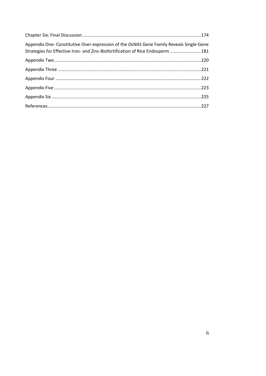| Appendix One- Constitutive Over-expression of the OsNAS Gene Family Reveals Single-Gene<br>Strategies for Effective Iron- and Zinc-Biofortification of Rice Endosperm 181 |  |
|---------------------------------------------------------------------------------------------------------------------------------------------------------------------------|--|
|                                                                                                                                                                           |  |
|                                                                                                                                                                           |  |
|                                                                                                                                                                           |  |
|                                                                                                                                                                           |  |
|                                                                                                                                                                           |  |
|                                                                                                                                                                           |  |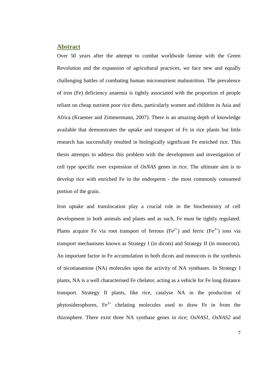#### <span id="page-6-0"></span>**Abstract**

Over 50 years after the attempt to combat worldwide famine with the Green Revolution and the expansion of agricultural practices, we face new and equally challenging battles of combating human micronutrient malnutrition. The prevalence of iron (Fe) deficiency anaemia is tightly associated with the proportion of people reliant on cheap nutrient poor rice diets, particularly women and children in Asia and Africa (Kraemer and Zimmermann, 2007). There is an amazing depth of knowledge available that demonstrates the uptake and transport of Fe in rice plants but little research has successfully resulted in biologically significant Fe enriched rice. This thesis attempts to address this problem with the development and investigation of cell type specific over expression of *OsNAS* genes in rice. The ultimate aim is to develop rice with enriched Fe in the endosperm - the most commonly consumed portion of the grain.

Iron uptake and translocation play a crucial role in the biochemistry of cell development in both animals and plants and as such, Fe must be tightly regulated. Plants acquire Fe via root transport of ferrous (Fe<sup>2+</sup>) and ferric (Fe<sup>3+</sup>) ions via transport mechanisms known as Strategy I (in dicots) and Strategy II (in monocots). An important factor in Fe accumulation in both dicots and monocots is the synthesis of nicotianamine (NA) molecules upon the activity of NA synthases. In Strategy I plants, NA is a well characterised Fe chelator, acting as a vehicle for Fe long distance transport. Strategy II plants, like rice, catalyse NA in the production of phytosiderophores,  $Fe<sup>3+</sup>$  chelating molecules used to draw Fe in from the rhizosphere. There exist three NA synthase genes in rice; *OsNAS1*, *OsNAS2* and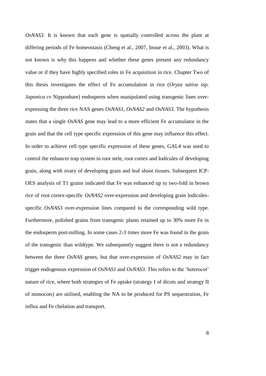*OsNAS3*. It is known that each gene is spatially controlled across the plant at differing periods of Fe homeostasis (Cheng et al., 2007, Inoue et al., 2003). What is not known is why this happens and whether these genes present any redundancy value or if they have highly specified roles in Fe acquisition in rice. Chapter Two of this thesis investigates the effect of Fe accumulation in rice (*Oryza sativa ssp. Japonica cv* Nipponbare) endosperm when manipulated using transgenic lines overexpressing the three rice NAS genes *OsNAS1*, *OsNAS2* and *OsNAS3.* The hypothesis states that a single *OsNAS* gene may lead to a more efficient Fe accumulator in the grain and that the cell type specific expression of this gene may influence this effect. In order to achieve cell type specific expression of these genes, GAL4 was used to control the enhancer trap system in root stele, root cortex and lodicules of developing grain, along with ovary of developing grain and leaf shoot tissues. Subsequent ICP-OES analysis of T1 grains indicated that Fe was enhanced up to two-fold in brown rice of root cortex-specific *OsNAS2* over-expression and developing grain lodiculesspecific *OsNAS3* over-expression lines compared to the corresponding wild type. Furthermore, polished grains from transgenic plants retained up to 30% more Fe in the endosperm post-milling. In some cases 2-3 times more Fe was found in the grain of the transgenic than wildtype. We subsequently suggest there is not a redundancy between the three *OsNAS* genes, but that over-expression of *OsNAS2* may in fact trigger endogenous expression of *OsNAS1* and *OsNAS3*. This refers to the 'heterocot' nature of rice, where both strategies of Fe uptake (strategy I of dicots and strategy II of monocots) are utilised, enabling the NA to be produced for PS sequestration, Fe influx and Fe chelation and transport.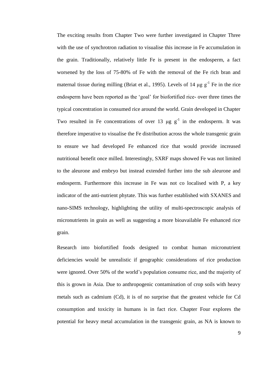The exciting results from Chapter Two were further investigated in Chapter Three with the use of synchrotron radiation to visualise this increase in Fe accumulation in the grain. Traditionally, relatively little Fe is present in the endosperm, a fact worsened by the loss of 75-80% of Fe with the removal of the Fe rich bran and maternal tissue during milling (Briat et al., 1995). Levels of 14  $\mu$ g g<sup>-1</sup> Fe in the rice endosperm have been reported as the 'goal' for biofortified rice- over three times the typical concentration in consumed rice around the world. Grain developed in Chapter Two resulted in Fe concentrations of over 13  $\mu$ g g<sup>-1</sup> in the endosperm. It was therefore imperative to visualise the Fe distribution across the whole transgenic grain to ensure we had developed Fe enhanced rice that would provide increased nutritional benefit once milled. Interestingly, SXRF maps showed Fe was not limited to the aleurone and embryo but instead extended further into the sub aleurone and endosperm. Furthermore this increase in Fe was not co localised with P, a key indicator of the anti-nutrient phytate. This was further established with SXANES and nano-SIMS technology, highlighting the utility of multi-spectroscopic analysis of micronutrients in grain as well as suggesting a more bioavailable Fe enhanced rice grain.

Research into biofortified foods designed to combat human micronutrient deficiencies would be unrealistic if geographic considerations of rice production were ignored. Over 50% of the world's population consume rice, and the majority of this is grown in Asia. Due to anthropogenic contamination of crop soils with heavy metals such as cadmium (Cd), it is of no surprise that the greatest vehicle for Cd consumption and toxicity in humans is in fact rice. Chapter Four explores the potential for heavy metal accumulation in the transgenic grain, as NA is known to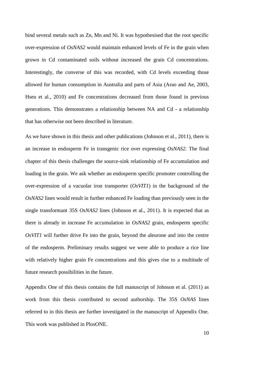bind several metals such as Zn, Mn and Ni. It was hypothesised that the root specific over-expression of *OsNAS2* would maintain enhanced levels of Fe in the grain when grown in Cd contaminated soils without increased the grain Cd concentrations. Interestingly, the converse of this was recorded, with Cd levels exceeding those allowed for human consumption in Australia and parts of Asia (Arao and Ae, 2003, Hseu et al., 2010) and Fe concentrations decreased from those found in previous generations. This demonstrates a relationship between NA and Cd - a relationship that has otherwise not been described in literature.

As we have shown in this thesis and other publications (Johnson et al., 2011), there is an increase in endosperm Fe in transgenic rice over expressing *OsNAS2*. The final chapter of this thesis challenges the source-sink relationship of Fe accumulation and loading in the grain. We ask whether an endosperm specific promoter controlling the over-expression of a vacuolar iron transporter (*OsVIT1*) in the background of the *OsNAS2* lines would result in further enhanced Fe loading than previously seen in the single transformant 35S *OsNAS2* lines (Johnson et al., 2011). It is expected that as there is already in increase Fe accumulation in *OsNAS2* grain, endosperm specific *OsVIT1* will further drive Fe into the grain, beyond the aleurone and into the centre of the endosperm. Preliminary results suggest we were able to produce a rice line with relatively higher grain Fe concentrations and this gives rise to a multitude of future research possibilities in the future.

Appendix One of this thesis contains the full manuscript of Johnson et al. (2011) as work from this thesis contributed to second authorship. The 35S *OsNAS* lines referred to in this thesis are further investigated in the manuscript of Appendix One. This work was published in PlosONE.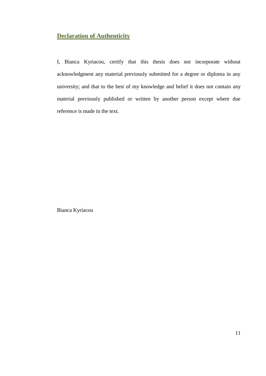## <span id="page-10-0"></span>**Declaration of Authenticity**

I, Bianca Kyriacou, certify that this thesis does not incorporate without acknowledgment any material previously submitted for a degree or diploma in any university; and that to the best of my knowledge and belief it does not contain any material previously published or written by another person except where due reference is made in the text.

Bianca Kyriacou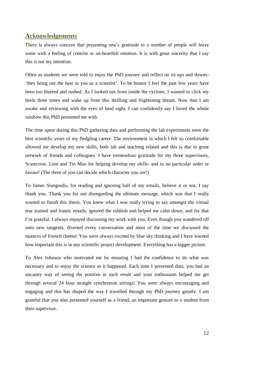#### <span id="page-11-0"></span>**Acknowledgements**

There is always concern that presenting one's gratitude to a number of people will leave some with a feeling of contrite or un-heartfelt emotion. It is with great sincerity that I say this is not my intention.

Often as students we were told to enjoy the PhD journey and reflect on its ups and downs- 'they bring out the best in you as a scientist'. To be honest I feel the past few years have been too blurred and rushed. As I looked out from inside the cyclone, I wanted to click my heels three times and wake up from this thrilling and frightening dream. Now that I am awake and reviewing with the eyes of hind sight, I can confidently say I loved the whole rainbow this PhD presented me with.

The time spent during this PhD gathering data and performing the lab experiments were the best scientific years of my fledgling career. The environment in which I felt so comfortable allowed me develop my new skills, both lab and teaching related and this is due to great network of friends and colleagues. I have tremendous gratitude for my three supervisors, Scarecrow, Lion and Tin Man for helping develop my skills- and in no particular order or favour! (The three of you can decide which character you are!)

To James Stangoulis, for reading and ignoring half of my emails, believe it or not, I say thank you. Thank you for not disregarding the ultimate message, which was that I really wanted to finish this thesis. You knew what I was really trying to say amongst the virtual tear stained and frantic emails, ignored the rubbish and helped me calm down, and for that I'm grateful. I always enjoyed discussing my work with you. Even though you wandered off onto new tangents, diverted every conversation and most of the time we discussed the nuances of French cheese! You were always excited by blue sky thinking and I have learned how important this is in any scientific project development. Everything has a bigger picture.

To Alex Johnson who motivated me by ensuring I had the confidence to do what was necessary and to enjoy the science as it happened. Each time I presented data, you had an uncanny way of seeing the positive in each result and your enthusiasm helped me get through several 24 hour straight synchrotron sittings! You were always encouraging and engaging and this has shaped the way I travelled through my PhD journey greatly. I am grateful that you also presented yourself as a friend, an important gesture to a student from their supervisor.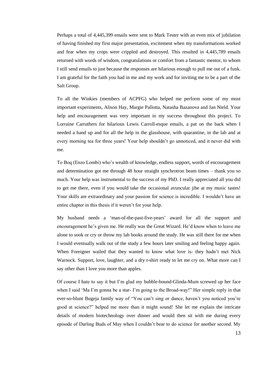Perhaps a total of 4,445,399 emails were sent to Mark Tester with an even mix of jubilation of having finished my first major presentation, excitement when my transformations worked and fear when my crops were crippled and destroyed. This resulted in 4,445,789 emails returned with words of wisdom, congratulations or comfort from a fantastic mentor, to whom I still send emails to just because the responses are hilarious enough to pull me out of a funk. I am grateful for the faith you had in me and my work and for inviting me to be a part of the Salt Group.

To all the Winkies (members of ACPFG) who helped me perform some of my most important experiments, Alison Hay, Margie Pallotta, Natasha Bazanova and Jan Nield. Your help and encouragement was very important in my success throughout this project. To Lorraine Carruthers for hilarious Lewis Carroll-esque emails, a pat on the back when I needed a hand up and for all the help in the glasshouse, with quarantine, in the lab and at every morning tea for three years! Your help shouldn't go unnoticed, and it never did with me.

To Boq (Enzo Lombi) who's wealth of knowledge, endless support, words of encouragement and determination got me through 48 hour straight synchrotron beam times – thank you so much. Your help was instrumental to the success of my PhD. I really appreciated all you did to get me there, even if you would take the occasional avuncular jibe at my music tastes! Your skills are extraordinary and your passion for science is incredible. I wouldn't have an entire chapter in this thesis if it weren't for your help.

My husband needs a 'man-of-the-past-five-years' award for all the support and encouragement he's given me. He really was the Great Wizard. He'd know when to leave me alone to sook or cry or throw my lab books around the study. He was still there for me when I would eventually walk out of the study a few hours later smiling and feeling happy again. When Foreigner wailed that they wanted to know what love is- they hadn't met Nick Warnock. Support, love, laughter, and a dry t-shirt ready to let me cry on. What more can I say other than I love you more than apples.

Of course I hate to say it but I'm glad my bubble-bound-Glinda-Mum screwed up her face when I said 'Ma I'm gonna be a star- I'm going to the Broad-way!" Her simple reply in that ever-so-blunt Bugeja family way of "You can't sing or dance, haven't you noticed you're good at science?" helped me more than it might sound! She let me explain the intricate details of modern biotechnology over dinner and would then sit with me during every episode of Darling Buds of May when I couldn't bear to do science for another second. My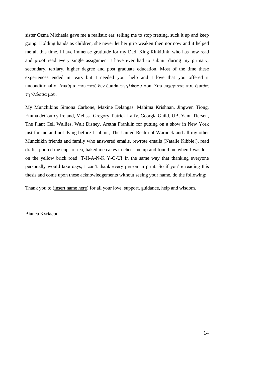sister Ozma Michaela gave me a realistic ear, telling me to stop fretting, suck it up and keep going. Holding hands as children, she never let her grip weaken then nor now and it helped me all this time. I have immense gratitude for my Dad, King Rinkitink, who has now read and proof read every single assignment I have ever had to submit during my primary, secondary, tertiary, higher degree and post graduate education. Most of the time these experiences ended in tears but I needed your help and I love that you offered it unconditionally. Λυπάμαι που ποτέ δεν έμαθα τη γλώσσα σου. Σου ευχαριστω που έμαθες τη γλώσσα μου.

My Munchikins Simona Carbone, Maxine Delangas, Mahima Krishnan, Jingwen Tiong, Emma deCourcy Ireland, Melissa Gregory, Patrick Laffy, Georgia Guild, UB, Yann Tiersen, The Plant Cell Wallies, Walt Disney, Aretha Franklin for putting on a show in New York just for me and not dying before I submit, The United Realm of Warnock and all my other Munchikin friends and family who answered emails, rewrote emails (Natalie Kibble!), read drafts, poured me cups of tea, baked me cakes to cheer me up and found me when I was lost on the yellow brick road: T-H-A-N-K Y-O-U! In the same way that thanking everyone personally would take days, I can't thank every person in print. So if you're reading this thesis and come upon these acknowledgements without seeing your name, do the following:

Thank you to (insert name here) for all your love, support, guidance, help and wisdom.

Bianca Kyriacou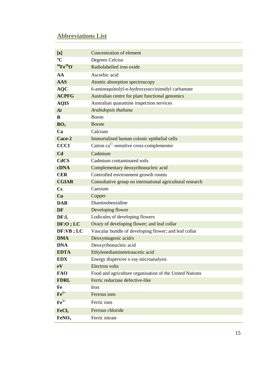## <span id="page-14-0"></span>**Abbreviations List**

| [x]                               | Concentration of element                                  |
|-----------------------------------|-----------------------------------------------------------|
| $\rm ^{\circ}C$                   | Degrees Celcius                                           |
| ${}^{56}\text{Fe}^{16}\text{O}$ . | Radiolabelled iron oxide                                  |
| AA                                | Ascorbic acid                                             |
| <b>AAS</b>                        | Atomic absorption spectroscopy                            |
| <b>AQC</b>                        | 6-aminoquinolyl-n-hydroxysuccinimidyl carbamate           |
| <b>ACPFG</b>                      | Australian centre for plant functional genomics           |
| <b>AQIS</b>                       | Australian quarantine inspection services                 |
| At                                | Arabidopsis thaliana                                      |
| B                                 | <b>Boron</b>                                              |
| BO <sub>3</sub>                   | <b>Borate</b>                                             |
| Ca                                | Calcium                                                   |
| Caco-2                            | Immortalised human colonic epithelial cells               |
| CCC1                              | Cation $ca^{2+}$ -sensitive cross-complementer            |
| C <sub>d</sub>                    | Cadmium                                                   |
| <b>CdCS</b>                       | Cadmium contaminated soils                                |
| <b>cDNA</b>                       | Complementary deoxyribonucleic acid                       |
| <b>CER</b>                        | Controlled environment growth rooms                       |
| <b>CGIAR</b>                      | Consultative group on international agricultural research |
| $\mathbf{C}\mathbf{s}$            | Caesium                                                   |
| Cu                                | Copper                                                    |
| <b>DAB</b>                        | Diaminobenzidine                                          |
| <b>DF</b>                         | Developing flower                                         |
| DF: L                             | Lodicules of developing flowers                           |
| DF:O; LC                          | Ovary of developing flower; and leaf collar               |
| $DF:VB$ ; LC                      | Vascular bundle of developing flower; and leaf collar     |
| <b>DMA</b>                        | Deoxymugenic acid/s                                       |
| <b>DNA</b>                        | Deoxyribonucleic acid                                     |
| <b>EDTA</b>                       | Ethylenediaminetetraacetic acid                           |
| <b>EDX</b>                        | Energy dispersive x-ray microanalysis                     |
| eV                                | <b>Electron</b> volts                                     |
| <b>FAO</b>                        | Food and agriculture organisation of the United Nations   |
| <b>FDRL</b>                       | Ferric reductase defective-like                           |
| Fe                                | Iron                                                      |
| $\mathbf{Fe}^{2+}$                | Ferrous ions                                              |
| $Fe3+$                            | Ferric ions                                               |
| FeCl <sub>2</sub>                 | Ferrous chloride                                          |
| FeNO <sub>3</sub>                 | Ferric nitrate                                            |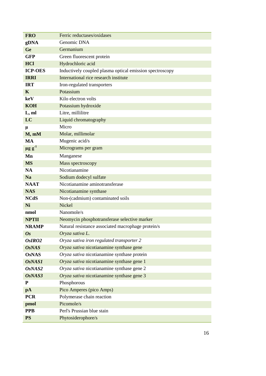| <b>FRO</b>              | Ferric reductases/oxidases                               |
|-------------------------|----------------------------------------------------------|
| gDNA                    | Genomic DNA                                              |
| Ge                      | Germanium                                                |
| <b>GFP</b>              | Green fluorescent protein                                |
| <b>HCl</b>              | Hydrochloric acid                                        |
| <b>ICP-OES</b>          | Inductively coupled plasma optical emission spectroscopy |
| <b>IRRI</b>             | International rice research institute                    |
| <b>IRT</b>              | Iron-regulated transporters                              |
| K                       | Potassium                                                |
| keV                     | Kilo electron volts                                      |
| <b>KOH</b>              | Potassium hydroxide                                      |
| L, ml                   | Litre, millilitre                                        |
| LC                      | Liquid chromatography                                    |
| μ                       | Micro                                                    |
| M, mM                   | Molar, millimolar                                        |
| <b>MA</b>               | Mugenic acid/s                                           |
| $\mu$ g g <sup>-1</sup> | Micrograms per gram                                      |
| Mn                      | Manganese                                                |
| <b>MS</b>               | Mass spectroscopy                                        |
| <b>NA</b>               | Nicotianamine                                            |
| <b>Na</b>               | Sodium dodecyl sulfate                                   |
| <b>NAAT</b>             | Nicotianamine aminotransferase                           |
| <b>NAS</b>              | Nicotianamine synthase                                   |
| <b>NCdS</b>             | Non-(cadmium) contaminated soils                         |
| Ni                      | <b>Nickel</b>                                            |
| nmol                    | Nanomole/s                                               |
| <b>NPTII</b>            | Neomycin phosphotransferase selective marker             |
| <b>NRAMP</b>            | Natural resistance associated macrophage protein/s       |
| <b>Os</b>               | Oryza sativa L.                                          |
| OsIRO <sub>2</sub>      | Oryza sativa iron regulated transporter 2                |
| <b>OsNAS</b>            | Oryza sativa nicotianamine synthase gene                 |
| <b>OsNAS</b>            | Oryza sativa nicotianamine synthase protein              |
| <b>OsNAS1</b>           | Oryza sativa nicotianamine synthase gene 1               |
| OsNAS2                  | Oryza sativa nicotianamine synthase gene 2               |
| OsNAS3                  | Oryza sativa nicotianamine synthase gene 3               |
| ${\bf P}$               | Phosphorous                                              |
| pA                      | Pico Amperes (pico Amps)                                 |
| <b>PCR</b>              | Polymerase chain reaction                                |
| pmol                    | Picomole/s                                               |
| <b>PPB</b>              | Perl's Prussian blue stain                               |
| <b>PS</b>               | Phytosiderophore/s                                       |